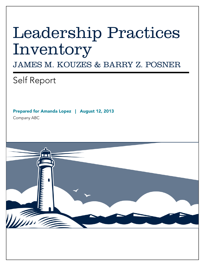# Leadership Practices Inventory

JAMES M. KOUZES & BARRY Z. POSNER

Self Report

Prepared for Amanda Lopez | August 12, 2013

Company ABC

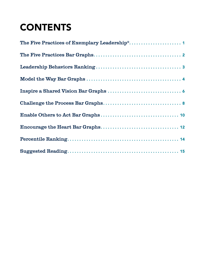## **CONTENTS**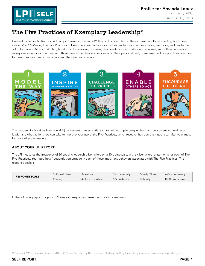

## <span id="page-2-0"></span>The Five Practices of Exemplary Leadership®

Created by James M. Kouzes and Barry Z. Posner in the early 1980s and first identified in their internationally best-selling book, The Leadership Challenge, The Five Practices of Exemplary Leadership approaches leadership as a measurable, learnable, and teachable set of behaviors. After conducting hundreds of interviews, reviewing thousands of case studies, and analyzing more than two million survey questionnaires to understand those times when leaders performed at their personal best, there emerged five practices common to making extraordinary things happen. The Five Practices are:



The Leadership Practices Inventory (LPI) instrument is an essential tool to help you gain perspective into how you see yourself as a leader and what actions you can take to improve your use of the Five Practices, which research has demonstrated, year after year, make for more effective leaders.

#### ABOUT YOUR LPI REPORT

The LPI measures the frequency of 30 specific leadership behaviors on a 10-point scale, with six behavioral statements for each of The Five Practices. You rated how frequently you engage in each of these important behaviors associated with The Five Practices. The response scale is:

| <b>RESPONSE SCALE</b> | 1-Almost Never | 3-Seldom          | 5-Occasionally | 7-Fairly Often | 9-Very Frequently |
|-----------------------|----------------|-------------------|----------------|----------------|-------------------|
|                       | 2-Rarely       | 4-Once in a While | 6-Sometimes    | 8-Usually      | 10-Almost always  |

In the following report pages, you'll see your responses presented in various manners.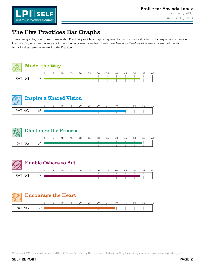

### <span id="page-3-0"></span>The Five Practices Bar Graphs

These bar graphs, one for each leadership Practice, provide a graphic representation of your total rating. Total responses can range from 6 to 60, which represents adding up the response score (from 1—Almost Never to 10—Almost Always) for each of the six behavioral statements related to the Practice.





|               | <b>Challenge the Process</b> |  |  |  |    |    |    |    |    |    |    |    |    |  |
|---------------|------------------------------|--|--|--|----|----|----|----|----|----|----|----|----|--|
|               |                              |  |  |  | 20 | 25 | 30 | 35 | 40 | 45 | 50 | 55 | 60 |  |
| <b>RATING</b> | 54                           |  |  |  |    |    |    |    |    |    |    |    |    |  |



| <b>Encourage the Heart</b> |    |  | 15 | 20 | 25 | 30 | 35 | 40 | 45 | 50 | 55 | 60 |
|----------------------------|----|--|----|----|----|----|----|----|----|----|----|----|
|                            | 30 |  |    |    |    |    |    |    |    |    |    |    |
| <b>RATING</b>              |    |  |    |    |    |    |    |    |    |    |    |    |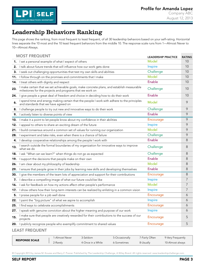

#### <span id="page-4-0"></span>Leadership Behaviors Ranking

This page shows the ranking, from most frequent to least frequent, of all 30 leadership behaviors based on your self-rating. Horizontal lines separate the 10 most and the 10 least frequent behaviors from the middle 10. The response scale runs from 1—Almost Never to 10—Almost Always.

|     | <b>MOST FREQUENT</b>                                                                                                                                   | <b>LEADERSHIP PRACTICE</b> | <b>RATING</b> |
|-----|--------------------------------------------------------------------------------------------------------------------------------------------------------|----------------------------|---------------|
|     | 1. I set a personal example of what I expect of others                                                                                                 | Model                      | 10            |
| 2.  | I talk about future trends that will influence how our work gets done                                                                                  | Inspire                    | 10            |
| З.  | I seek out challenging opportunities that test my own skills and abilities                                                                             | Challenge                  | 10            |
| 11. | I follow through on the promises and commitments that I make                                                                                           | Model                      | 10            |
|     | 14. I treat others with dignity and respect                                                                                                            | Enable                     | 10            |
| 23. | I make certain that we set achievable goals, make concrete plans, and establish measurable<br>milestones for the projects and programs that we work on | Challenge                  | 10            |
| 24. | I give people a great deal of freedom and choice in deciding how to do their work                                                                      | Enable                     | 10            |
| 6.  | I spend time and energy making certain that the people I work with adhere to the principles<br>and standards that we have agreed on                    | Model                      | 9             |
|     | 8. I challenge people to try out new and innovative ways to do their work                                                                              | Challenge                  | 9             |
|     | 9. I actively listen to diverse points of view                                                                                                         | Enable                     | 9             |
|     | 10. I make it a point to let people know about my confidence in their abilities                                                                        | Encourage                  | 9             |
| 12. | I appeal to others to share an exciting dream of the future                                                                                            | Inspire                    | 9             |
|     | 21. I build consensus around a common set of values for running our organization                                                                       | Model                      | 9             |
| 28. | I experiment and take risks, even when there is a chance of failure                                                                                    | Challenge                  | 9             |
| 4.  | I develop cooperative relationships among the people I work with                                                                                       | Enable                     | 8             |
| 13. | I search outside the formal boundaries of my organization for innovative ways to improve<br>what we do                                                 | Challenge                  | 8             |
|     | 18. I ask "What can we learn?" when things do not go as expected                                                                                       | Challenge                  | 8             |
| 19. | I support the decisions that people make on their own                                                                                                  | Enable                     | 8             |
| 26. | I am clear about my philosophy of leadership                                                                                                           | Model                      | 8             |
|     | 29. I ensure that people grow in their jobs by learning new skills and developing themselves                                                           | Enable                     | 8             |
| 30. | I give the members of the team lots of appreciation and support for their contributions                                                                | Encourage                  | 8             |
| 7.  | I describe a compelling image of what our future could be like                                                                                         | Inspire                    | 7             |
| 16. | I ask for feedback on how my actions affect other people's performance                                                                                 | Model                      | 7             |
|     | 17. I show others how their long-term interests can be realized by enlisting in a common vision                                                        | Inspire                    | 7             |
| 5.  | I praise people for a job well done                                                                                                                    | Encourage                  | 6             |
|     | 22. I paint the "big picture" of what we aspire to accomplish                                                                                          | Inspire                    | 6             |
|     | 25. I find ways to celebrate accomplishments                                                                                                           | Encourage                  | 6             |
| 27. | I speak with genuine conviction about the higher meaning and purpose of our work                                                                       | Inspire                    | 6             |
| 15. | I make sure that people are creatively rewarded for their contributions to the success of our<br>projects                                              | Encourage                  | 5             |
|     | 20. I publicly recognize people who exemplify commitment to shared values                                                                              | Encourage                  | 5             |
|     | <b>LEAST FREQUENT</b>                                                                                                                                  |                            |               |

| <b>RESPONSE SCALE</b> | 1-Almost Never | 3-Seldom          | 5-Occasionally | 7-Fairly Often | 9-Very Frequently |
|-----------------------|----------------|-------------------|----------------|----------------|-------------------|
|                       | 2-Rarely       | 4-Once in a While | 6-Sometimes    | 8-Usually      | 10-Almost always  |

© Copyright 2013 by James M. Kouzes and Barry Z. Posner. Published by The Leadership Challenge, A Wiley Brand. All rights reserved. www.leadershipchallenge.com.

SELF REPORT PAGE 3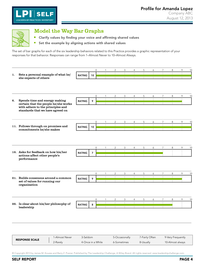

<span id="page-5-0"></span>

#### Model the Way Bar Graphs

- **E** Clarify values by finding your voice and affirming shared values
- $\Box$ Set the example by aligning actions with shared values

The set of bar graphs for each of the six leadership behaviors related to this Practice provides a graphic representation of your responses for that behavior. Responses can range from 1–Almost Never to 10–Almost Always.

|    |                                                                       |               |                | $\mathbf{0}$ | 1            | $\overline{2}$       | 3            | $\overline{4}$ | 5              | 6            | $\overline{7}$      | 8               | 9            | 10 |
|----|-----------------------------------------------------------------------|---------------|----------------|--------------|--------------|----------------------|--------------|----------------|----------------|--------------|---------------------|-----------------|--------------|----|
| 1. | Sets a personal example of what he/                                   | <b>RATING</b> | 10             |              | $\mathbb{L}$ | $\mathbf{L}$         |              | ÷.             | ÷.             | ÷.           | $\perp$             | $\mathbf{I}$    | $\pm$        |    |
|    | she expects of others                                                 |               |                |              |              | $\mathbb{R}$         | $\mathbb{I}$ | $\sim$ 1 $\,$  | $\mathbb{R}$   | $\mathbb{R}$ | $\sim 1$            | $\sim$ 1 $\sim$ | $\mathbb{R}$ |    |
|    |                                                                       |               |                |              |              |                      |              |                |                |              |                     |                 |              |    |
|    |                                                                       |               |                |              |              |                      |              |                |                |              |                     |                 |              |    |
|    |                                                                       |               |                |              |              |                      |              |                |                |              |                     |                 |              |    |
|    |                                                                       |               |                | $\mathbf{0}$ | 1            | $\overline{2}$       | 3            | $\overline{4}$ | 5              | 6            | 7                   | 8               | 9            | 10 |
| 6. | Spends time and energy making                                         | <b>RATING</b> | 9              |              |              | Ť.                   |              |                | $\mathbb{I}$   | ÷            | ÷.                  | ÷.              |              |    |
|    | certain that the people he/she works                                  |               |                |              |              |                      |              |                | $\mathbb{L}$   | $\mathbb{I}$ |                     |                 |              |    |
|    | with adhere to the principles and<br>standards that we have agreed on |               |                |              |              |                      |              |                |                |              |                     |                 |              |    |
|    |                                                                       |               |                |              |              |                      |              |                |                |              |                     |                 |              |    |
|    |                                                                       |               |                |              |              |                      |              |                |                |              |                     |                 |              |    |
|    |                                                                       |               |                | $\mathbf{0}$ | $\mathbf{1}$ | 2                    | 3            | 4              | 5              | 6            | $7^{\circ}$         | 8               | 9            | 10 |
|    | 11. Follows through on promises and                                   | <b>RATING</b> | 10             |              |              |                      |              |                |                |              |                     |                 |              |    |
|    | commitments he/she makes                                              |               |                |              |              |                      |              |                |                |              |                     |                 |              |    |
|    |                                                                       |               |                |              |              |                      |              |                |                |              |                     |                 |              |    |
|    |                                                                       |               |                |              |              |                      |              |                |                |              |                     |                 |              |    |
|    |                                                                       |               |                |              |              |                      |              |                |                |              |                     |                 |              |    |
|    |                                                                       |               |                | $\mathbf{0}$ | $\mathbf{1}$ | $\overline{2}$       | 3            | 4              | 5              | 6            | $\overline{7}$      | 8               | 9            | 10 |
|    | 16. Asks for feedback on how his/her                                  | <b>RATING</b> |                |              |              |                      |              |                |                |              |                     |                 |              |    |
|    | actions affect other people's                                         |               | $\overline{7}$ |              |              |                      |              |                | $\mathbb{R}^n$ |              |                     |                 |              |    |
|    | performance                                                           |               |                |              |              |                      |              |                |                |              |                     |                 |              |    |
|    |                                                                       |               |                |              |              |                      |              |                |                |              |                     |                 |              |    |
|    |                                                                       |               |                |              |              |                      |              |                |                |              |                     |                 |              |    |
|    |                                                                       |               |                | $\Omega$     |              | 2                    | 3            | 4              | 5              | 6            | 7                   | 8               | 9            | 10 |
|    | 21. Builds consensus around a common                                  |               |                |              |              |                      |              |                |                |              |                     |                 |              |    |
|    | set of values for running our                                         | <b>RATING</b> | 9              |              |              |                      |              |                |                |              |                     |                 |              |    |
|    | organization                                                          |               |                |              |              |                      |              |                |                |              |                     |                 |              |    |
|    |                                                                       |               |                |              |              |                      |              |                |                |              |                     |                 |              |    |
|    |                                                                       |               |                |              |              |                      |              |                |                |              |                     |                 |              |    |
|    |                                                                       |               |                |              |              |                      |              |                |                |              |                     |                 |              |    |
|    |                                                                       |               |                | $\mathbf 0$  | 1<br>÷.      | $\overline{c}$<br>÷. | 3<br>÷       | 4<br>÷         | 5<br>÷         | 6<br>÷       | $\overline{7}$<br>÷ | 8               | 9            | 10 |
|    | 26. Is clear about his/her philosophy of<br>leadership                | <b>RATING</b> | 8              |              |              | $\pm$                | $\sim 1$     | $\sim 1$       | $\sim 1$       | $\sim 1$     | $\pm 1$             |                 |              |    |
|    |                                                                       |               |                |              |              |                      |              |                |                |              |                     |                 |              |    |
|    |                                                                       |               |                |              |              |                      |              |                |                |              |                     |                 |              |    |
|    |                                                                       |               |                |              |              |                      |              |                |                |              |                     |                 |              |    |
|    |                                                                       |               |                |              |              |                      |              |                |                |              |                     |                 |              |    |

| <b>RESPONSE SCALE</b> | 1-Almost Never | 3-Seldom          | 5-Occasionally | 7-Fairly Often | 9-Very Frequently |
|-----------------------|----------------|-------------------|----------------|----------------|-------------------|
|                       | 2-Rarely       | 4-Once in a While | 6-Sometimes    | 8-Usually      | 10-Almost always  |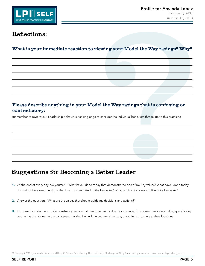

#### What is your immediate reaction to viewing your Model the Way ratings? Why?

#### Please describe anything in your Model the Way ratings that is confusing or contradictory:

(Remember to review your Leadership Behaviors Ranking page to consider the individual behaviors that relate to this practice.)

## Suggestions for Becoming a Better Leader

- 1. At the end of every day, ask yourself, "What have I done today that demonstrated one of my key values? What have i done today that might have sent the signal that I wasn't committed to the key value? What can i do tomorrow to live out a key value?
- 2. Answer the question, "What are the values that should guide my decisions and actions?"
- 3. Do something dramatic to demonstrate your commitment to a team value. For instance, if customer service is a value, spend a day answering the phones in the call center, working behind the counter at a store, or visiting customers at their locations.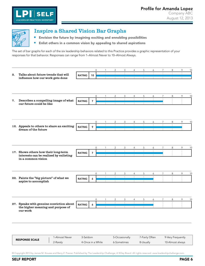<span id="page-7-0"></span>

 $\blacksquare$ 

#### Inspire a Shared Vision Bar Graphs

**Envision the future by imagining exciting and ennobling possibilities** 

Enlist others in a common vision by appealing to shared aspirations

The set of bar graphs for each of the six leadership behaviors related to this Practice provides a graphic representation of your responses for that behavior. Responses can range from 1–Almost Never to 10–Almost Always.

| 2. | Talks about future trends that will<br>influence how our work gets done<br>Describes a compelling image of what | <b>RATING</b> | 10               | $\Omega$     |              | 2               | 3              | 4            | 5             | 6       | 7              | 8     | 9 | 10 |
|----|-----------------------------------------------------------------------------------------------------------------|---------------|------------------|--------------|--------------|-----------------|----------------|--------------|---------------|---------|----------------|-------|---|----|
|    |                                                                                                                 |               |                  |              |              |                 |                |              |               |         |                |       |   |    |
|    |                                                                                                                 |               |                  |              |              |                 |                |              |               |         |                |       |   |    |
|    |                                                                                                                 |               |                  |              |              |                 |                |              |               |         |                |       |   |    |
|    |                                                                                                                 |               |                  |              |              |                 |                |              |               |         |                |       |   |    |
|    |                                                                                                                 |               |                  | $\mathbf 0$  | $\mathbf{1}$ | 2               | 3              | 4            | 5             | 6       | $\overline{7}$ | 8     | 9 | 10 |
| 7. | our future could be like                                                                                        | <b>RATING</b> | $\overline{7}$   |              |              |                 |                |              | ÷.            | ÷.      |                |       |   |    |
|    |                                                                                                                 |               |                  |              |              |                 |                |              |               |         |                |       |   |    |
|    |                                                                                                                 |               |                  | $\mathbf{0}$ | $\mathbf{1}$ | $\overline{2}$  | 3              | 4            | 5             | 6       | $\overline{7}$ | 8     | 9 | 10 |
|    | 12. Appeals to others to share an exciting                                                                      | <b>RATING</b> | 9                |              |              | $\mathbb{L}$    |                | $\perp$      | $\mathbb{I}$  | ÷.      | $\perp$        | $\pm$ |   |    |
|    | dream of the future                                                                                             |               |                  |              |              |                 |                |              |               | $\perp$ |                |       |   |    |
|    |                                                                                                                 |               |                  |              |              |                 |                |              |               |         |                |       |   |    |
|    |                                                                                                                 |               |                  | $\Omega$     |              | 2               | 3              | 4            | 5             | 6       | 7              | 8     | 9 | 10 |
|    | 17. Shows others how their long-term                                                                            | <b>RATING</b> | $\overline{7}$   |              |              |                 |                |              |               |         |                |       |   |    |
|    | interests can be realized by enlisting<br>in a common vision                                                    |               |                  |              |              |                 |                |              |               |         |                |       |   |    |
|    |                                                                                                                 |               |                  | $\mathbf 0$  |              | 2               | 3              |              | 5             | 6       | $\overline{7}$ | 8     | 9 | 10 |
|    | 22. Paints the "big picture" of what we<br>aspire to accomplish                                                 | <b>RATING</b> | $\boldsymbol{6}$ |              |              |                 |                |              | ÷.            |         |                |       |   |    |
|    |                                                                                                                 |               |                  |              |              |                 |                |              |               |         |                |       |   |    |
|    |                                                                                                                 |               |                  | 0            |              | 2               | 3              | 4            | 5             | 6       | $\overline{7}$ | 8     | 9 | 10 |
|    | 27. Speaks with genuine conviction about<br>the higher meaning and purpose of                                   | <b>RATING</b> | 6                |              | $\pm$        | $\mathcal{A}$ . | $\mathbb{R}^n$ | $\mathbf{1}$ | ÷.<br>$\perp$ |         |                |       |   |    |
|    | our work                                                                                                        |               |                  |              |              |                 |                |              |               |         |                |       |   |    |
|    |                                                                                                                 |               |                  |              |              |                 |                |              |               |         |                |       |   |    |

| <b>RESPONSE SCALE</b> | 1-Almost Never | 3-Seldom          | 5-Occasionally | 7-Fairly Often | 9-Very Frequently |
|-----------------------|----------------|-------------------|----------------|----------------|-------------------|
|                       | 2-Rarely       | 4-Once in a While | 6-Sometimes    | 8-Usually      | 10-Almost always  |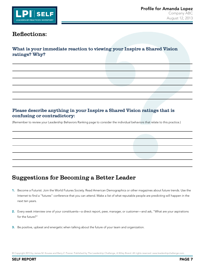

What is your immediate reaction to viewing your Inspire a Shared Vision ratings? Why?

#### Please describe anything in your Inspire a Shared Vision ratings that is confusing or contradictory:

(Remember to review your Leadership Behaviors Ranking page to consider the individual behaviors that relate to this practice.)

#### Suggestions for Becoming a Better Leader

- 1. Become a Futurist. Join the World Futures Society. Read American Demographics or other magazines about future trends. Use the Internet to find a "futures" conference that you can attend. Make a list of what reputable people are predicting will happen in the next ten years.
- 2. Every week interview one of your constituents—a direct report, peer, manager, or customer—and ask, "What are your aspirations for the future?"
- 3. Be positive, upbeat and energetic when talking about the future of your team and organization.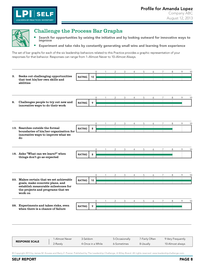

 $\overline{\phantom{a}}$ 

Ē,

<span id="page-9-0"></span>

#### Challenge the Process Bar Graphs

Search for opportunities by seizing the initiative and by looking outward for innovative ways to improve

Experiment and take risks by constantly generating small wins and learning from experience

The set of bar graphs for each of the six leadership behaviors related to this Practice provides a graphic representation of your responses for that behavior. Responses can range from 1–Almost Never to 10–Almost Always.

|    |                                                                                     |               |                 | $\Omega$    |                | 3 |   | 5 | 6 | 7              | 8 | 9 | 10 |
|----|-------------------------------------------------------------------------------------|---------------|-----------------|-------------|----------------|---|---|---|---|----------------|---|---|----|
| 3. | Seeks out challenging opportunities<br>that test his/her own skills and             | <b>RATING</b> | 10              |             |                |   |   |   |   |                |   |   |    |
|    | abilities                                                                           |               |                 |             |                |   |   |   |   |                |   |   |    |
|    |                                                                                     |               |                 | $\Omega$    |                |   |   | 5 | 6 | 7              | 8 | 9 | 10 |
| 8. | Challenges people to try out new and<br>innovative ways to do their work            | <b>RATING</b> | 9               |             |                |   |   |   |   |                |   |   |    |
|    |                                                                                     |               |                 |             |                |   |   |   |   |                |   |   |    |
|    |                                                                                     |               |                 | $\Omega$    | 2              | 3 |   | 5 | 6 | $\overline{7}$ | 8 | 9 | 10 |
|    | 13. Searches outside the formal<br>boundaries of his/her organization for           | <b>RATING</b> | 8               |             |                |   |   |   |   |                |   |   |    |
|    | innovative ways to improve what we<br>do                                            |               |                 |             |                |   |   |   |   |                |   |   |    |
|    |                                                                                     |               |                 | 0           | 2              | 3 | 4 | 5 | 6 | 7              | 8 | 9 | 10 |
|    | 18. Asks "What can we learn?" when<br>things don't go as expected                   | <b>RATING</b> | 8               |             |                |   |   |   |   |                |   |   |    |
|    |                                                                                     |               |                 |             |                |   |   |   |   |                |   |   |    |
|    |                                                                                     |               |                 | $\mathbf 0$ | $\overline{2}$ | 3 | 4 | 5 | 6 | $\overline{7}$ | 8 | 9 | 10 |
|    | 23. Makes certain that we set achievable<br>goals, make concrete plans, and         | <b>RATING</b> | 10 <sup>°</sup> |             |                |   |   |   |   |                |   |   |    |
|    | establish measurable milestones for<br>the projects and programs that we<br>work on |               |                 |             |                |   |   |   |   |                |   |   |    |
|    |                                                                                     |               |                 | $\Omega$    | 2              | 3 | 4 | 5 | 6 | $\overline{7}$ | 8 | 9 | 10 |
|    | 28. Experiments and takes risks, even<br>when there is a chance of failure          | <b>RATING</b> | 9               |             |                |   |   |   |   |                |   |   |    |
|    |                                                                                     |               |                 |             |                |   |   |   |   |                |   |   |    |

| <b>RESPONSE SCALE</b> | l-Almost Never | 3-Seldom          | 5-Occasionally | 7-Fairly Often | 9-Very Frequently |
|-----------------------|----------------|-------------------|----------------|----------------|-------------------|
|                       | 2-Rarely       | 4-Once in a While | 6-Sometimes    | 8-Usually      | 10-Almost always  |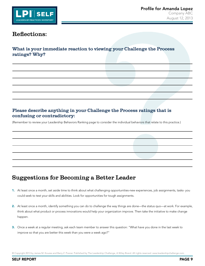

What is your immediate reaction to viewing your Challenge the Process ratings? Why?

#### Please describe anything in your Challenge the Process ratings that is confusing or contradictory:

(Remember to review your Leadership Behaviors Ranking page to consider the individual behaviors that relate to this practice.)

## Suggestions for Becoming a Better Leader

- 1. At least once a month, set aside time to think about what challenging opportunities-new experiences, job assignments, tasks- you could seek to test your skills and abilities. Look for opportunities for tough assignments.
- 2. At least once a month, identify something you can do to challenge the way things are done—the status quo—at work. For example, think about what product or process innovations would help your organization improve. Then take the initiative to make change happen.
- 3. Once a week at a regular meeting, ask each team member to answer this question: "What have you done in the last week to improve so that you are better this week than you were a week ago?"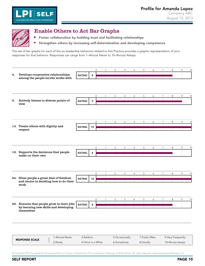<span id="page-11-0"></span>

**SEL** 

LEADERSHIP PRACTICES INVENTORY

 $\blacksquare$ 

#### Enable Others to Act Bar Graphs

**F** Foster collaboration by building trust and facilitating relationships

Strengthen others by increasing self-determination and developing competence

The set of bar graphs for each of the six leadership behaviors related to this Practice provides a graphic representation of your responses for that behavior. Responses can range from 1–Almost Never to 10–Almost Always.

|    |                                            |               |                 | $\mathbf{0}$        | 1            | 2              | 3                        | 4              | 5            | 6             | 7               | 8            | 9 | 10 |
|----|--------------------------------------------|---------------|-----------------|---------------------|--------------|----------------|--------------------------|----------------|--------------|---------------|-----------------|--------------|---|----|
| 4. | Develops cooperative relationships         | <b>RATING</b> | 8               |                     |              |                |                          |                |              | ÷i.           | ÷               |              |   |    |
|    | among the people he/she works with         |               |                 |                     |              |                | $\mathbb{R}$             | $\mathbf{I}$   | $\mathbf{I}$ | $\mathbf{I}$  | $\mathbf{I}$    |              |   |    |
|    |                                            |               |                 |                     |              |                |                          |                |              |               |                 |              |   |    |
|    |                                            |               |                 |                     |              |                |                          |                |              |               |                 |              |   |    |
|    |                                            |               |                 |                     |              |                |                          |                |              |               |                 |              |   |    |
|    |                                            |               |                 | 0                   | 1            | $\overline{c}$ | 3                        | 4              | 5            | 6             | 7               | 8            | 9 | 10 |
| 9. | Actively listens to diverse points of      | <b>RATING</b> | 9               |                     |              |                |                          |                |              |               |                 |              |   |    |
|    | view                                       |               |                 |                     |              |                |                          |                |              |               |                 |              |   |    |
|    |                                            |               |                 |                     |              |                |                          |                |              |               |                 |              |   |    |
|    |                                            |               |                 |                     |              |                |                          |                |              |               |                 |              |   |    |
|    |                                            |               |                 |                     |              |                |                          |                |              |               |                 |              |   |    |
|    |                                            |               |                 | 0                   | $\mathbf{1}$ | $\overline{2}$ | 3                        | $\overline{4}$ | 5            | 6             | $7^{\circ}$     | 8            | 9 | 10 |
|    | 14. Treats others with dignity and         | <b>RATING</b> | 10 <sup>°</sup> |                     |              |                | $\mathbb{I}$             | $\mathbb{I}$   | $\mathbf{1}$ | $\mathbb{I}$  | $\mathbb{I}$    | $\mathbb{I}$ |   |    |
|    | respect                                    |               |                 |                     |              |                |                          |                |              |               |                 |              |   |    |
|    |                                            |               |                 |                     |              |                |                          |                |              |               |                 |              |   |    |
|    |                                            |               |                 |                     |              |                |                          |                |              |               |                 |              |   |    |
|    |                                            |               |                 |                     |              |                |                          |                |              |               |                 |              |   |    |
|    |                                            |               |                 | $\mathsf{O}\xspace$ | 1            | $\overline{c}$ | 3                        | 4              | 5            | 6             | $\overline{7}$  | 8            | 9 | 10 |
|    | 19. Supports the decisions that people     | <b>RATING</b> | 8               |                     | ÷.           |                | ÷                        | ÷.             | ÷            | ÷.            | ÷               |              |   |    |
|    | make on their own                          |               |                 |                     |              |                | $\overline{\phantom{0}}$ | $\mathbf{I}$   | $\mathbf{I}$ | $\mathbf{I}$  | $\mathbf{I}$    |              |   |    |
|    |                                            |               |                 |                     |              |                |                          |                |              |               |                 |              |   |    |
|    |                                            |               |                 |                     |              |                |                          |                |              |               |                 |              |   |    |
|    |                                            |               |                 |                     |              |                |                          |                |              |               |                 |              |   |    |
|    |                                            |               |                 | 0                   |              | 2              | 3                        | 4              | 5            | 6             | 7               | 8            | 9 | 10 |
|    | 24. Gives people a great deal of freedom   | <b>RATING</b> | 10              |                     |              |                |                          |                |              |               |                 |              |   |    |
|    | and choice in deciding how to do their     |               |                 |                     |              |                |                          |                |              |               |                 |              |   |    |
|    | work                                       |               |                 |                     |              |                |                          |                |              |               |                 |              |   |    |
|    |                                            |               |                 |                     |              |                |                          |                |              |               |                 |              |   |    |
|    |                                            |               |                 |                     |              |                |                          |                |              |               |                 |              |   |    |
|    |                                            |               |                 | $\mathsf{O}$        | $\mathbf{1}$ | $\overline{2}$ | 3                        | $\overline{4}$ | 5            | 6             | $7\overline{ }$ | 8            | 9 | 10 |
|    | 29. Ensures that people grow in their jobs | <b>RATING</b> | 8               |                     |              |                | $\mathbb{I}$             | $\perp$        | $\mathbb{I}$ | $\mathcal{A}$ | $\mathbb{I}$    |              |   |    |
|    | by learning new skills and developing      |               |                 |                     |              |                |                          |                |              |               |                 |              |   |    |
|    | themselves                                 |               |                 |                     |              |                |                          |                |              |               |                 |              |   |    |
|    |                                            |               |                 |                     |              |                |                          |                |              |               |                 |              |   |    |
|    |                                            |               |                 |                     |              |                |                          |                |              |               |                 |              |   |    |
|    |                                            |               |                 |                     |              |                |                          |                |              |               |                 |              |   |    |
|    |                                            |               |                 |                     |              |                |                          |                |              |               |                 |              |   |    |

| <b>RESPONSE SCALE</b> | I-Almost Never | 3-Seldom          | 5-Occasionally | 7-Fairly Often | 9-Very Frequently |
|-----------------------|----------------|-------------------|----------------|----------------|-------------------|
|                       | 2-Rarely       | 4-Once in a While | 6-Sometimes    | 8-Usually      | 10-Almost always  |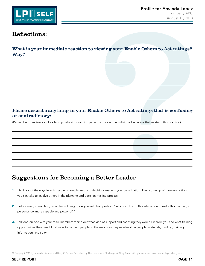

What is your immediate reaction to viewing your Enable Others to Act ratings? Why?

#### Please describe anything in your Enable Others to Act ratings that is confusing or contradictory:

(Remember to review your Leadership Behaviors Ranking page to consider the individual behaviors that relate to this practice.)

## Suggestions for Becoming a Better Leader

- 1. Think about the ways in which projects are planned and decisions made in your organization. Then come up with several actions you can take to involve others in the planning and decision-making process.
- 2. Before every interaction, regardless of length, ask yourself this question: "What can I do in this interaction to make this person (or persons) feel more capable and powerful?"
- 3. Talk one-on-one with your team members to find out what kind of support and coaching they would like from you and what training opportunities they need. Find ways to connect people to the resources they need—other people, materials, funding, training, information, and so on.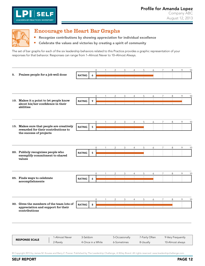<span id="page-13-0"></span>

**SELF** 

LEADERSHIP PRACTICES INVENTORY

 $\blacksquare$ 

#### Encourage the Heart Bar Graphs

**Recognize contributions by showing appreciation for individual excellence** 

Celebrate the values and victories by creating a spirit of community

The set of bar graphs for each of the six leadership behaviors related to this Practice provides a graphic representation of your responses for that behavior. Responses can range from 1–Almost Never to 10–Almost Always.

|    |                                                                                  |               |   | $\mathbf 0$         | 1            | $\overline{c}$ | 3              | $\overline{4}$ | 5                    | 6                                        | $\overline{7}$              | 8            | 9 | 10 |
|----|----------------------------------------------------------------------------------|---------------|---|---------------------|--------------|----------------|----------------|----------------|----------------------|------------------------------------------|-----------------------------|--------------|---|----|
| 5. | Praises people for a job well done                                               | <b>RATING</b> | 6 |                     | ÷            | ÷.             | ÷              | ÷              | ÷.                   |                                          |                             |              |   |    |
|    |                                                                                  |               |   |                     |              |                |                |                |                      |                                          |                             |              |   |    |
|    |                                                                                  |               |   |                     |              |                |                |                |                      |                                          |                             |              |   |    |
|    |                                                                                  |               |   | $\mathbf{0}$        | $\mathbf{1}$ | 2              | 3              | 4              | 5                    | 6                                        | $\overline{7}$              | 8            | 9 | 10 |
|    | 10. Makes it a point to let people know<br>about his/her confidence in their     | <b>RATING</b> | 9 |                     | ÷.           | ÷.             |                | ÷.             | ÷.                   | ÷.                                       | ÷.                          | $\mathbf{I}$ |   |    |
|    | abilities                                                                        |               |   |                     |              |                |                |                |                      |                                          |                             |              |   |    |
|    |                                                                                  |               |   | $\mathbf 0$         | $\mathbf{1}$ | $\overline{2}$ | 3              | $\overline{4}$ | 5                    | 6                                        | $\overline{7}$              | 8            | 9 | 10 |
|    | 15. Makes sure that people are creatively<br>rewarded for their contributions to | <b>RATING</b> | 5 |                     | $\mathbf{I}$ | $\mathbb{I}$   |                | $\mathbb{R}$   |                      |                                          |                             |              |   |    |
|    | the success of projects                                                          |               |   |                     |              |                |                |                |                      |                                          |                             |              |   |    |
|    |                                                                                  |               |   | $\Omega$            |              | $\overline{c}$ | 3              | 4              | 5                    | 6                                        | $\overline{7}$              | 8            | 9 | 10 |
|    | 20. Publicly recognizes people who<br>exemplify commitment to shared             | <b>RATING</b> | 5 |                     |              |                |                |                |                      |                                          |                             |              |   |    |
|    | values                                                                           |               |   |                     |              |                |                |                |                      |                                          |                             |              |   |    |
|    |                                                                                  |               |   | $\mathsf{O}\xspace$ |              | 2              | 3              | 4              | 5                    | 6                                        | $\overline{7}$              | 8            | 9 | 10 |
|    | 25. Finds ways to celebrate<br>accomplishments                                   | <b>RATING</b> | 6 |                     |              | $\pm$          | $\mathbb{R}$   | $\mathbb{R}^n$ | ÷.<br>$\mathbb{R}^n$ |                                          |                             |              |   |    |
|    |                                                                                  |               |   |                     |              |                |                |                |                      |                                          |                             |              |   |    |
|    |                                                                                  |               |   | $\mathbf{0}$        |              | 2              | 3              | 4              | 5                    | 6                                        | $\overline{7}$              | 8            | 9 | 10 |
|    | 30. Gives the members of the team lots of<br>appreciation and support for their  | <b>RATING</b> | 8 |                     | $\mathbb{R}$ | $\overline{1}$ | $\overline{1}$ | $\overline{1}$ | $\mathbb{R}^n$       | $\mathsf{I}$<br>$\overline{\phantom{a}}$ | $\mathbb{I}$<br>$\mathbb T$ |              |   |    |
|    | contributions                                                                    |               |   |                     |              |                |                |                |                      |                                          |                             |              |   |    |
|    |                                                                                  |               |   |                     |              |                |                |                |                      |                                          |                             |              |   |    |

| <b>RESPONSE SCALE</b> | I-Almost Never | 3-Seldom          | 5-Occasionally | 7-Fairly Often | 9-Very Frequently |
|-----------------------|----------------|-------------------|----------------|----------------|-------------------|
|                       | 2-Rarelv       | 4-Once in a While | 6-Sometimes    | 8-Usually      | 10-Almost always  |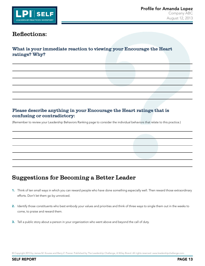

What is your immediate reaction to viewing your Encourage the Heart ratings? Why?

#### Please describe anything in your Encourage the Heart ratings that is confusing or contradictory:

(Remember to review your Leadership Behaviors Ranking page to consider the individual behaviors that relate to this practice.)

## Suggestions for Becoming a Better Leader

- 1. Think of ten small ways in which you can reward people who have done something especially well. Then reward those extraordinary efforts. Don't let them go by unnoticed.
- 2. Identify those constituents who best embody your values and priorities and think of three ways to single them out in the weeks to come, to praise and reward them.
- 3. Tell a public story about a person in your organization who went above and beyond the call of duty.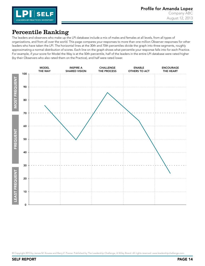

#### <span id="page-15-0"></span>Percentile Ranking

The leaders and observers who make up the LPI database include a mix of males and females at all levels, from all types of organizations, and from all over the world. This page compares your responses to more than one million Observer responses for other leaders who have taken the LPI. The horizontal lines at the 30th and 70th percentiles divide the graph into three segments, roughly approximating a normal distribution of scores. Each line on the graph shows what percentile your response falls into for each Practice. For example, if your score for Model the Way is at the 50th percentile, half of the leaders in the entire LPI database were rated higher (by their Observers who also rated them on the Practice), and half were rated lower.